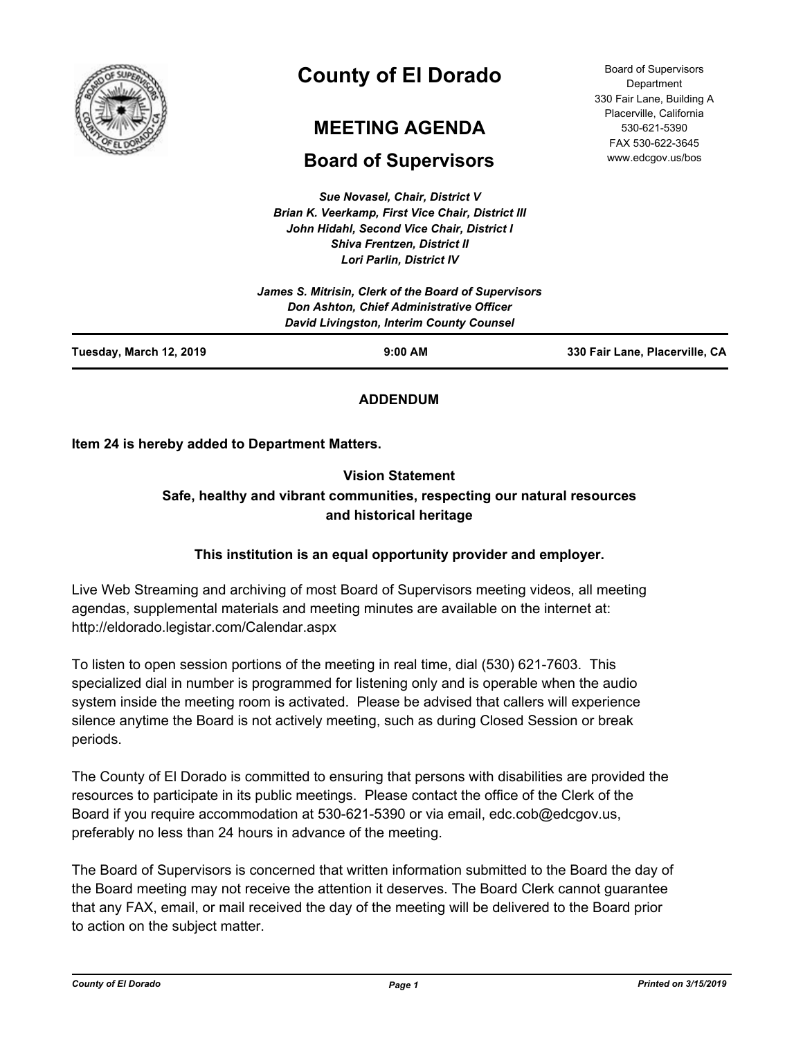

# **County of El Dorado**

# **MEETING AGENDA**

# **Board of Supervisors**

*Sue Novasel, Chair, District V Brian K. Veerkamp, First Vice Chair, District III John Hidahl, Second Vice Chair, District I Shiva Frentzen, District II Lori Parlin, District IV*

Board of Supervisors **Department** 330 Fair Lane, Building A Placerville, California 530-621-5390 FAX 530-622-3645 www.edcgov.us/bos

| Tuesday, March 12, 2019 | $9:00$ AM                                                                            | 330 Fair Lane, Placerville, CA |
|-------------------------|--------------------------------------------------------------------------------------|--------------------------------|
|                         | Don Ashton, Chief Administrative Officer<br>David Livingston, Interim County Counsel |                                |
|                         | James S. Mitrisin, Clerk of the Board of Supervisors                                 |                                |

# **ADDENDUM**

# **Item 24 is hereby added to Department Matters.**

# **Vision Statement Safe, healthy and vibrant communities, respecting our natural resources and historical heritage**

# **This institution is an equal opportunity provider and employer.**

Live Web Streaming and archiving of most Board of Supervisors meeting videos, all meeting agendas, supplemental materials and meeting minutes are available on the internet at: http://eldorado.legistar.com/Calendar.aspx

To listen to open session portions of the meeting in real time, dial (530) 621-7603. This specialized dial in number is programmed for listening only and is operable when the audio system inside the meeting room is activated. Please be advised that callers will experience silence anytime the Board is not actively meeting, such as during Closed Session or break periods.

The County of El Dorado is committed to ensuring that persons with disabilities are provided the resources to participate in its public meetings. Please contact the office of the Clerk of the Board if you require accommodation at 530-621-5390 or via email, edc.cob@edcgov.us, preferably no less than 24 hours in advance of the meeting.

The Board of Supervisors is concerned that written information submitted to the Board the day of the Board meeting may not receive the attention it deserves. The Board Clerk cannot guarantee that any FAX, email, or mail received the day of the meeting will be delivered to the Board prior to action on the subject matter.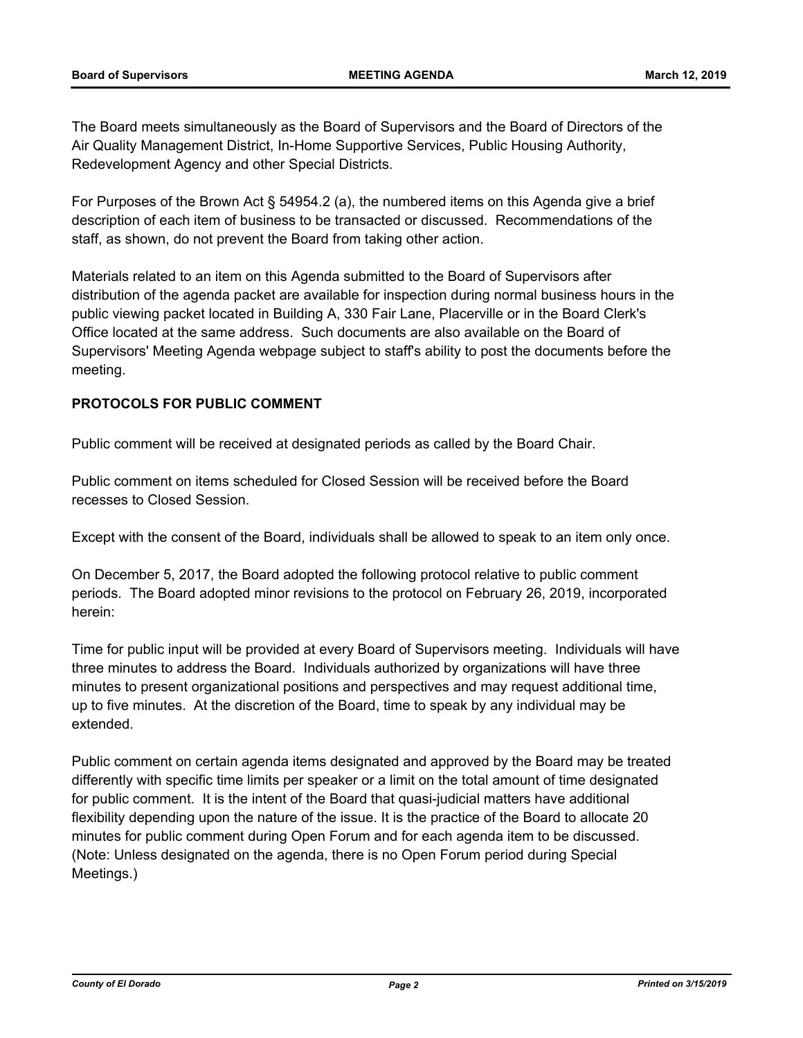The Board meets simultaneously as the Board of Supervisors and the Board of Directors of the Air Quality Management District, In-Home Supportive Services, Public Housing Authority, Redevelopment Agency and other Special Districts.

For Purposes of the Brown Act § 54954.2 (a), the numbered items on this Agenda give a brief description of each item of business to be transacted or discussed. Recommendations of the staff, as shown, do not prevent the Board from taking other action.

Materials related to an item on this Agenda submitted to the Board of Supervisors after distribution of the agenda packet are available for inspection during normal business hours in the public viewing packet located in Building A, 330 Fair Lane, Placerville or in the Board Clerk's Office located at the same address. Such documents are also available on the Board of Supervisors' Meeting Agenda webpage subject to staff's ability to post the documents before the meeting.

# **PROTOCOLS FOR PUBLIC COMMENT**

Public comment will be received at designated periods as called by the Board Chair.

Public comment on items scheduled for Closed Session will be received before the Board recesses to Closed Session.

Except with the consent of the Board, individuals shall be allowed to speak to an item only once.

On December 5, 2017, the Board adopted the following protocol relative to public comment periods. The Board adopted minor revisions to the protocol on February 26, 2019, incorporated herein:

Time for public input will be provided at every Board of Supervisors meeting. Individuals will have three minutes to address the Board. Individuals authorized by organizations will have three minutes to present organizational positions and perspectives and may request additional time, up to five minutes. At the discretion of the Board, time to speak by any individual may be extended.

Public comment on certain agenda items designated and approved by the Board may be treated differently with specific time limits per speaker or a limit on the total amount of time designated for public comment. It is the intent of the Board that quasi-judicial matters have additional flexibility depending upon the nature of the issue. It is the practice of the Board to allocate 20 minutes for public comment during Open Forum and for each agenda item to be discussed. (Note: Unless designated on the agenda, there is no Open Forum period during Special Meetings.)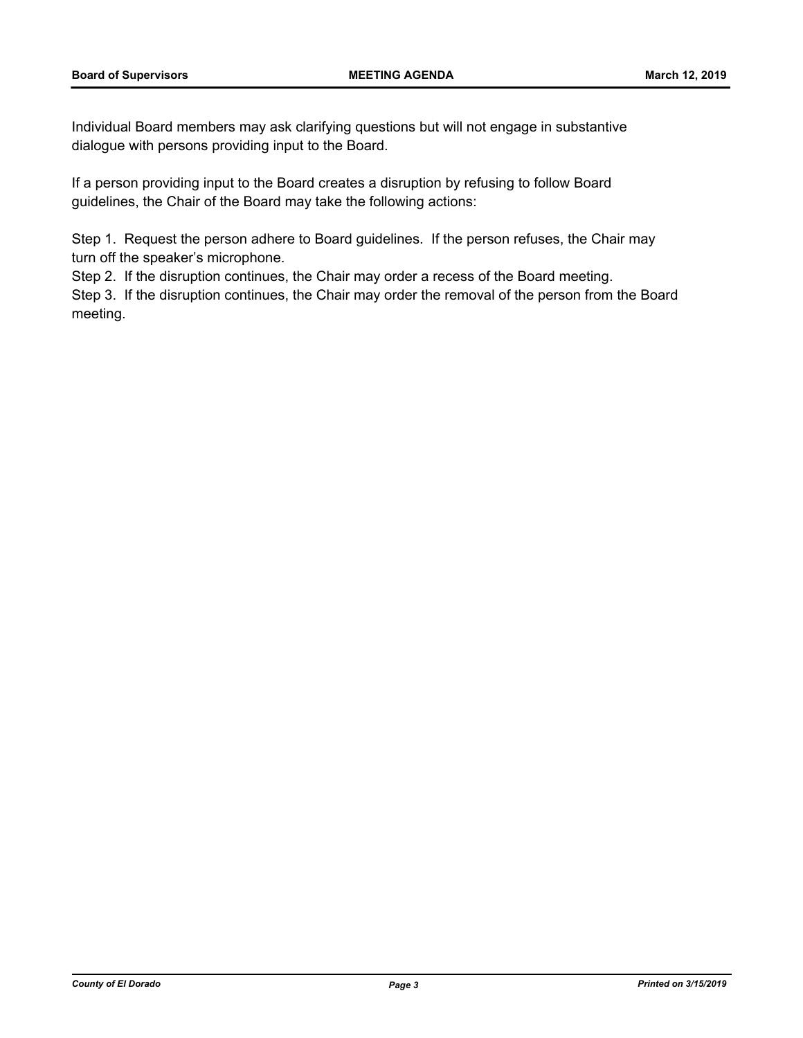Individual Board members may ask clarifying questions but will not engage in substantive dialogue with persons providing input to the Board.

If a person providing input to the Board creates a disruption by refusing to follow Board guidelines, the Chair of the Board may take the following actions:

Step 1. Request the person adhere to Board guidelines. If the person refuses, the Chair may turn off the speaker's microphone.

Step 2. If the disruption continues, the Chair may order a recess of the Board meeting.

Step 3. If the disruption continues, the Chair may order the removal of the person from the Board meeting.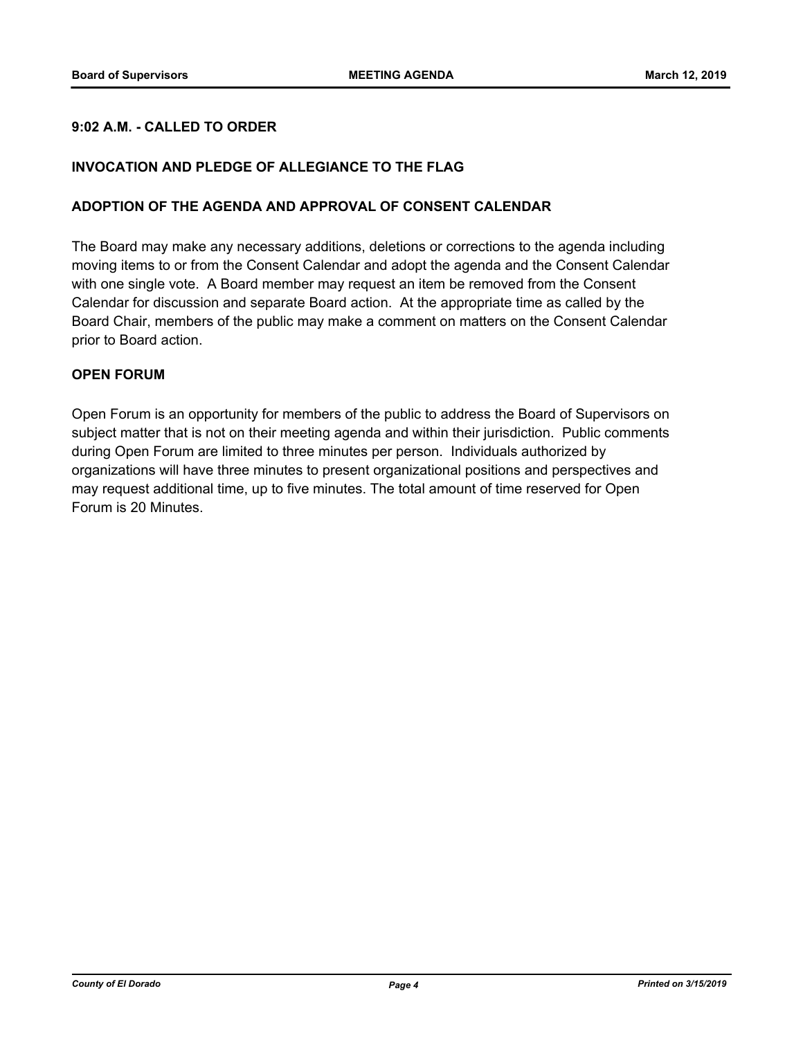# **9:02 A.M. - CALLED TO ORDER**

### **INVOCATION AND PLEDGE OF ALLEGIANCE TO THE FLAG**

#### **ADOPTION OF THE AGENDA AND APPROVAL OF CONSENT CALENDAR**

The Board may make any necessary additions, deletions or corrections to the agenda including moving items to or from the Consent Calendar and adopt the agenda and the Consent Calendar with one single vote. A Board member may request an item be removed from the Consent Calendar for discussion and separate Board action. At the appropriate time as called by the Board Chair, members of the public may make a comment on matters on the Consent Calendar prior to Board action.

#### **OPEN FORUM**

Open Forum is an opportunity for members of the public to address the Board of Supervisors on subject matter that is not on their meeting agenda and within their jurisdiction. Public comments during Open Forum are limited to three minutes per person. Individuals authorized by organizations will have three minutes to present organizational positions and perspectives and may request additional time, up to five minutes. The total amount of time reserved for Open Forum is 20 Minutes.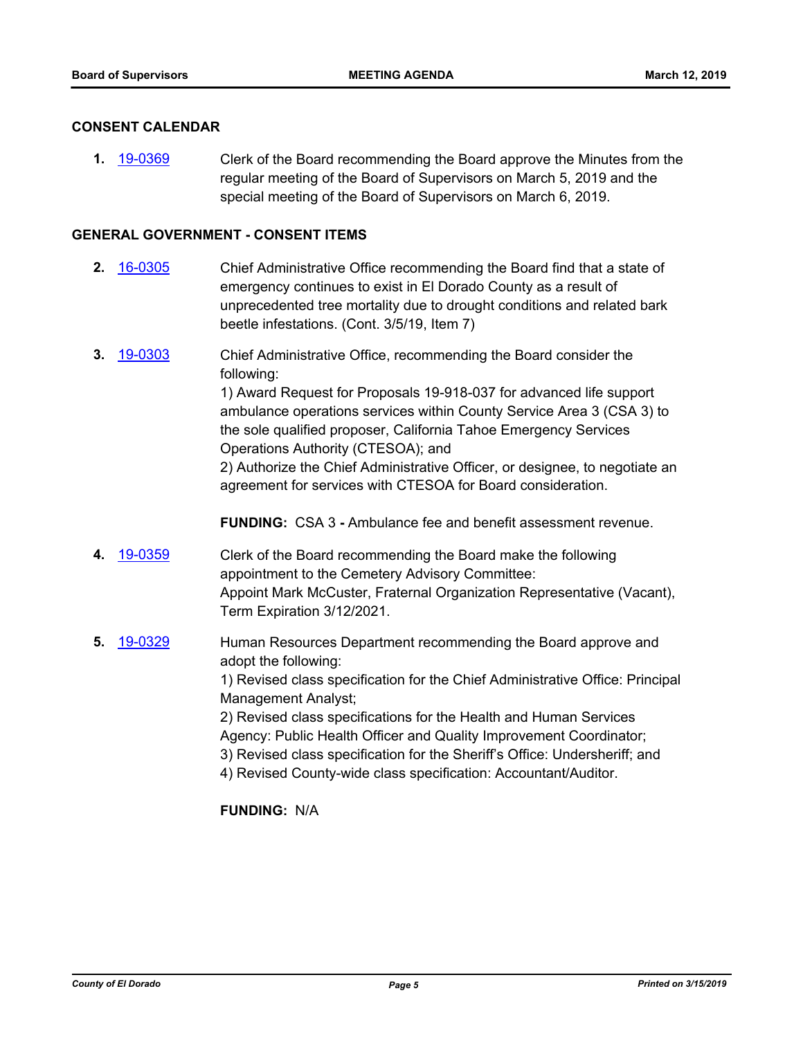#### **CONSENT CALENDAR**

**1.** [19-0369](http://eldorado.legistar.com/gateway.aspx?m=l&id=/matter.aspx?key=25690) Clerk of the Board recommending the Board approve the Minutes from the regular meeting of the Board of Supervisors on March 5, 2019 and the special meeting of the Board of Supervisors on March 6, 2019.

# **GENERAL GOVERNMENT - CONSENT ITEMS**

- **2.** [16-0305](http://eldorado.legistar.com/gateway.aspx?m=l&id=/matter.aspx?key=20961) Chief Administrative Office recommending the Board find that a state of emergency continues to exist in El Dorado County as a result of unprecedented tree mortality due to drought conditions and related bark beetle infestations. (Cont. 3/5/19, Item 7)
- **3.** [19-0303](http://eldorado.legistar.com/gateway.aspx?m=l&id=/matter.aspx?key=25625) Chief Administrative Office, recommending the Board consider the following: 1) Award Request for Proposals 19-918-037 for advanced life support ambulance operations services within County Service Area 3 (CSA 3) to

the sole qualified proposer, California Tahoe Emergency Services Operations Authority (CTESOA); and

2) Authorize the Chief Administrative Officer, or designee, to negotiate an agreement for services with CTESOA for Board consideration.

**FUNDING:** CSA 3 **-** Ambulance fee and benefit assessment revenue.

- **4.** [19-0359](http://eldorado.legistar.com/gateway.aspx?m=l&id=/matter.aspx?key=25680) Clerk of the Board recommending the Board make the following appointment to the Cemetery Advisory Committee: Appoint Mark McCuster, Fraternal Organization Representative (Vacant), Term Expiration 3/12/2021.
- **5.** [19-0329](http://eldorado.legistar.com/gateway.aspx?m=l&id=/matter.aspx?key=25650) Human Resources Department recommending the Board approve and adopt the following: 1) Revised class specification for the Chief Administrative Office: Principal Management Analyst; 2) Revised class specifications for the Health and Human Services Agency: Public Health Officer and Quality Improvement Coordinator; 3) Revised class specification for the Sheriff's Office: Undersheriff; and 4) Revised County-wide class specification: Accountant/Auditor.

**FUNDING:** N/A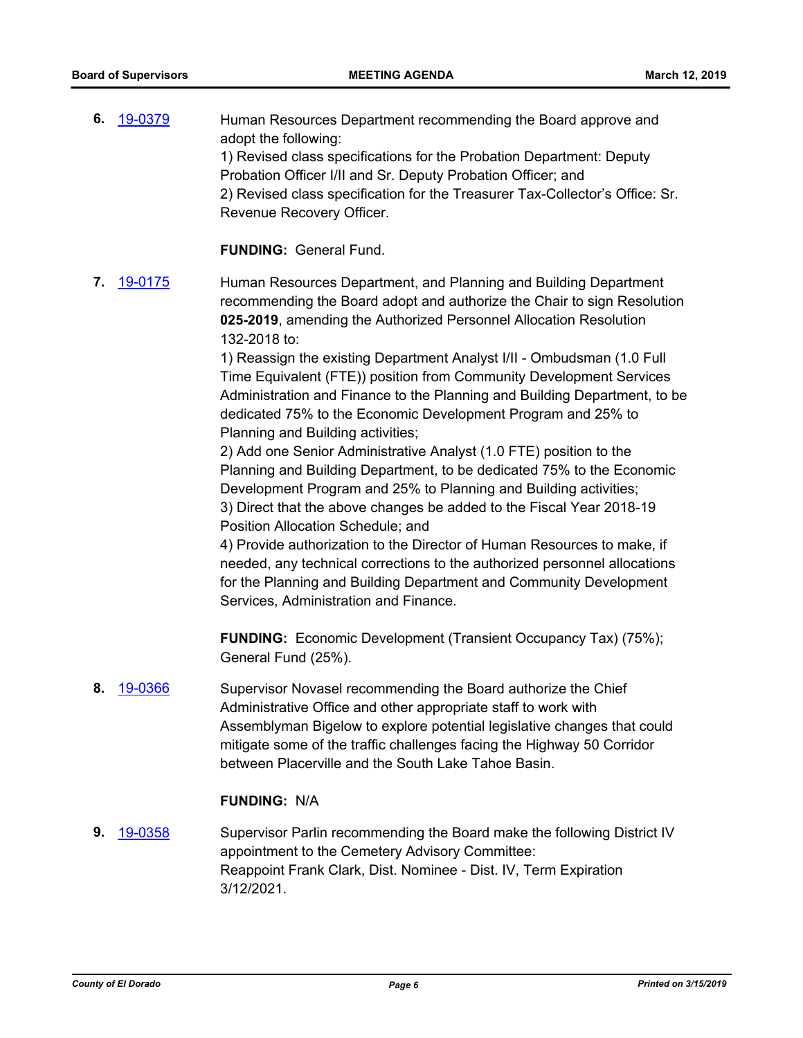**6.** [19-0379](http://eldorado.legistar.com/gateway.aspx?m=l&id=/matter.aspx?key=25700) Human Resources Department recommending the Board approve and adopt the following: 1) Revised class specifications for the Probation Department: Deputy Probation Officer I/II and Sr. Deputy Probation Officer; and 2) Revised class specification for the Treasurer Tax-Collector's Office: Sr. Revenue Recovery Officer.

**FUNDING:** General Fund.

**7.** [19-0175](http://eldorado.legistar.com/gateway.aspx?m=l&id=/matter.aspx?key=25495) Human Resources Department, and Planning and Building Department recommending the Board adopt and authorize the Chair to sign Resolution **025-2019**, amending the Authorized Personnel Allocation Resolution 132-2018 to:

> 1) Reassign the existing Department Analyst I/II - Ombudsman (1.0 Full Time Equivalent (FTE)) position from Community Development Services Administration and Finance to the Planning and Building Department, to be dedicated 75% to the Economic Development Program and 25% to Planning and Building activities;

2) Add one Senior Administrative Analyst (1.0 FTE) position to the Planning and Building Department, to be dedicated 75% to the Economic Development Program and 25% to Planning and Building activities; 3) Direct that the above changes be added to the Fiscal Year 2018-19

Position Allocation Schedule; and

4) Provide authorization to the Director of Human Resources to make, if needed, any technical corrections to the authorized personnel allocations for the Planning and Building Department and Community Development Services, Administration and Finance.

**FUNDING:** Economic Development (Transient Occupancy Tax) (75%); General Fund (25%).

**8.** [19-0366](http://eldorado.legistar.com/gateway.aspx?m=l&id=/matter.aspx?key=25687) Supervisor Novasel recommending the Board authorize the Chief Administrative Office and other appropriate staff to work with Assemblyman Bigelow to explore potential legislative changes that could mitigate some of the traffic challenges facing the Highway 50 Corridor between Placerville and the South Lake Tahoe Basin.

#### **FUNDING:** N/A

**9.** [19-0358](http://eldorado.legistar.com/gateway.aspx?m=l&id=/matter.aspx?key=25679) Supervisor Parlin recommending the Board make the following District IV appointment to the Cemetery Advisory Committee: Reappoint Frank Clark, Dist. Nominee - Dist. IV, Term Expiration 3/12/2021.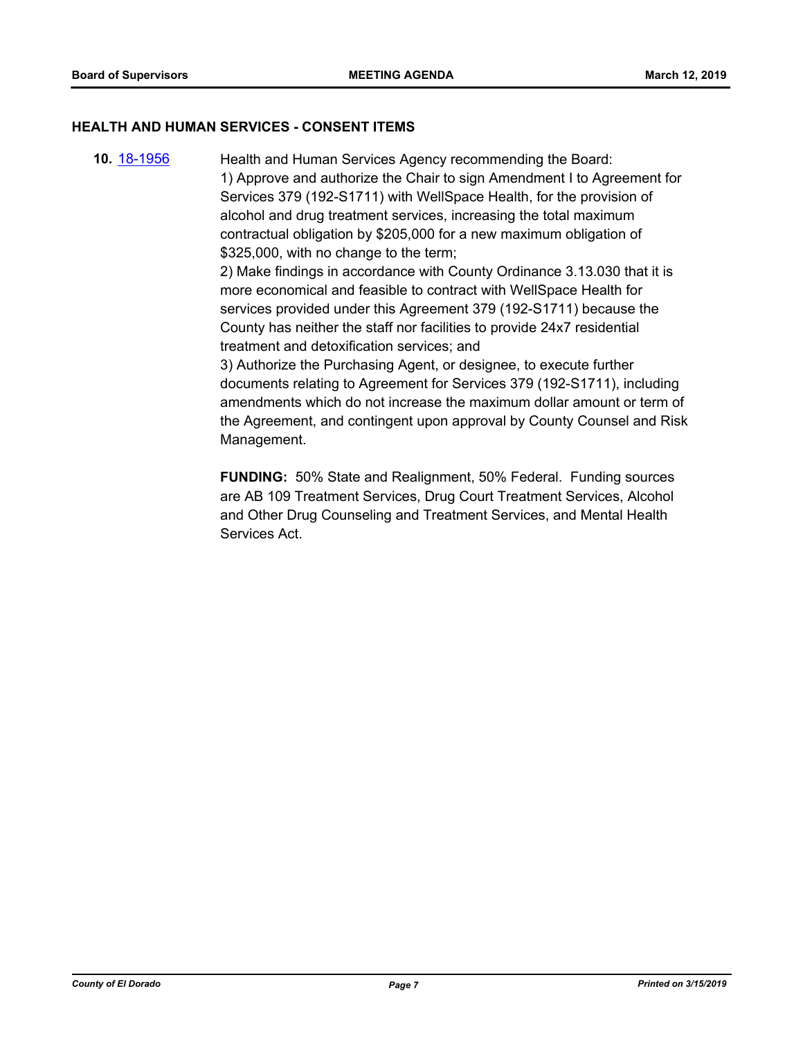#### **HEALTH AND HUMAN SERVICES - CONSENT ITEMS**

**10.** [18-1956](http://eldorado.legistar.com/gateway.aspx?m=l&id=/matter.aspx?key=25306) Health and Human Services Agency recommending the Board: 1) Approve and authorize the Chair to sign Amendment I to Agreement for Services 379 (192-S1711) with WellSpace Health, for the provision of alcohol and drug treatment services, increasing the total maximum contractual obligation by \$205,000 for a new maximum obligation of \$325,000, with no change to the term; 2) Make findings in accordance with County Ordinance 3.13.030 that it is more economical and feasible to contract with WellSpace Health for services provided under this Agreement 379 (192-S1711) because the County has neither the staff nor facilities to provide 24x7 residential treatment and detoxification services; and 3) Authorize the Purchasing Agent, or designee, to execute further

documents relating to Agreement for Services 379 (192-S1711), including amendments which do not increase the maximum dollar amount or term of the Agreement, and contingent upon approval by County Counsel and Risk Management.

**FUNDING:** 50% State and Realignment, 50% Federal. Funding sources are AB 109 Treatment Services, Drug Court Treatment Services, Alcohol and Other Drug Counseling and Treatment Services, and Mental Health Services Act.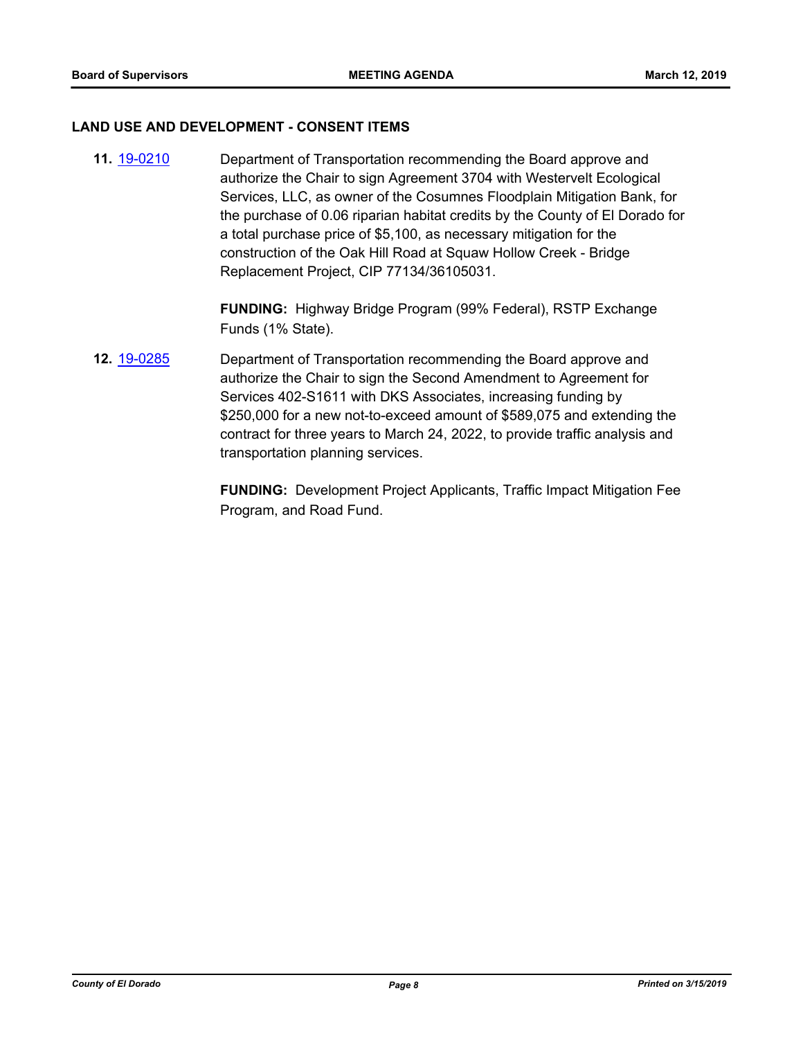#### **LAND USE AND DEVELOPMENT - CONSENT ITEMS**

**11.** [19-0210](http://eldorado.legistar.com/gateway.aspx?m=l&id=/matter.aspx?key=25530) Department of Transportation recommending the Board approve and authorize the Chair to sign Agreement 3704 with Westervelt Ecological Services, LLC, as owner of the Cosumnes Floodplain Mitigation Bank, for the purchase of 0.06 riparian habitat credits by the County of El Dorado for a total purchase price of \$5,100, as necessary mitigation for the construction of the Oak Hill Road at Squaw Hollow Creek - Bridge Replacement Project, CIP 77134/36105031.

> **FUNDING:** Highway Bridge Program (99% Federal), RSTP Exchange Funds (1% State).

**12.** [19-0285](http://eldorado.legistar.com/gateway.aspx?m=l&id=/matter.aspx?key=25607) Department of Transportation recommending the Board approve and authorize the Chair to sign the Second Amendment to Agreement for Services 402-S1611 with DKS Associates, increasing funding by \$250,000 for a new not-to-exceed amount of \$589,075 and extending the contract for three years to March 24, 2022, to provide traffic analysis and transportation planning services.

> **FUNDING:** Development Project Applicants, Traffic Impact Mitigation Fee Program, and Road Fund.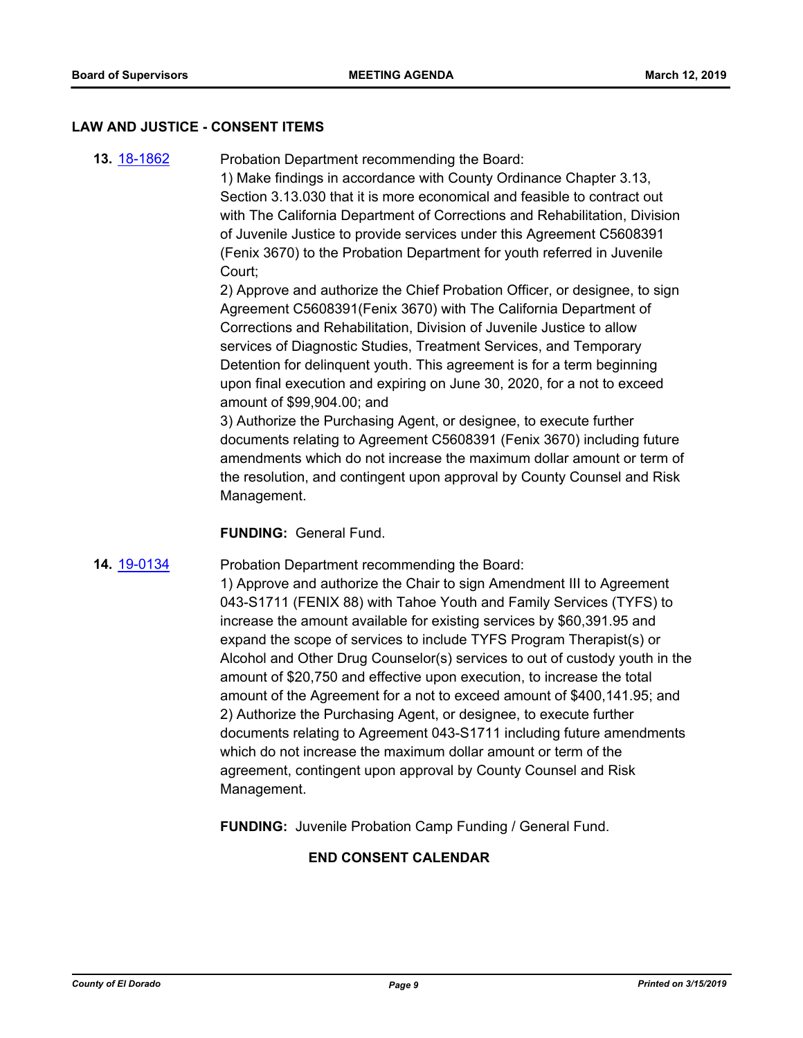#### **LAW AND JUSTICE - CONSENT ITEMS**

**13.** [18-1862](http://eldorado.legistar.com/gateway.aspx?m=l&id=/matter.aspx?key=25212) Probation Department recommending the Board:

1) Make findings in accordance with County Ordinance Chapter 3.13, Section 3.13.030 that it is more economical and feasible to contract out with The California Department of Corrections and Rehabilitation, Division of Juvenile Justice to provide services under this Agreement C5608391 (Fenix 3670) to the Probation Department for youth referred in Juvenile Court;

2) Approve and authorize the Chief Probation Officer, or designee, to sign Agreement C5608391(Fenix 3670) with The California Department of Corrections and Rehabilitation, Division of Juvenile Justice to allow services of Diagnostic Studies, Treatment Services, and Temporary Detention for delinquent youth. This agreement is for a term beginning upon final execution and expiring on June 30, 2020, for a not to exceed amount of \$99,904.00; and

3) Authorize the Purchasing Agent, or designee, to execute further documents relating to Agreement C5608391 (Fenix 3670) including future amendments which do not increase the maximum dollar amount or term of the resolution, and contingent upon approval by County Counsel and Risk Management.

**FUNDING:** General Fund.

**14.** [19-0134](http://eldorado.legistar.com/gateway.aspx?m=l&id=/matter.aspx?key=25455) Probation Department recommending the Board:

1) Approve and authorize the Chair to sign Amendment III to Agreement 043-S1711 (FENIX 88) with Tahoe Youth and Family Services (TYFS) to increase the amount available for existing services by \$60,391.95 and expand the scope of services to include TYFS Program Therapist(s) or Alcohol and Other Drug Counselor(s) services to out of custody youth in the amount of \$20,750 and effective upon execution, to increase the total amount of the Agreement for a not to exceed amount of \$400,141.95; and 2) Authorize the Purchasing Agent, or designee, to execute further documents relating to Agreement 043-S1711 including future amendments which do not increase the maximum dollar amount or term of the agreement, contingent upon approval by County Counsel and Risk Management.

**FUNDING:** Juvenile Probation Camp Funding / General Fund.

## **END CONSENT CALENDAR**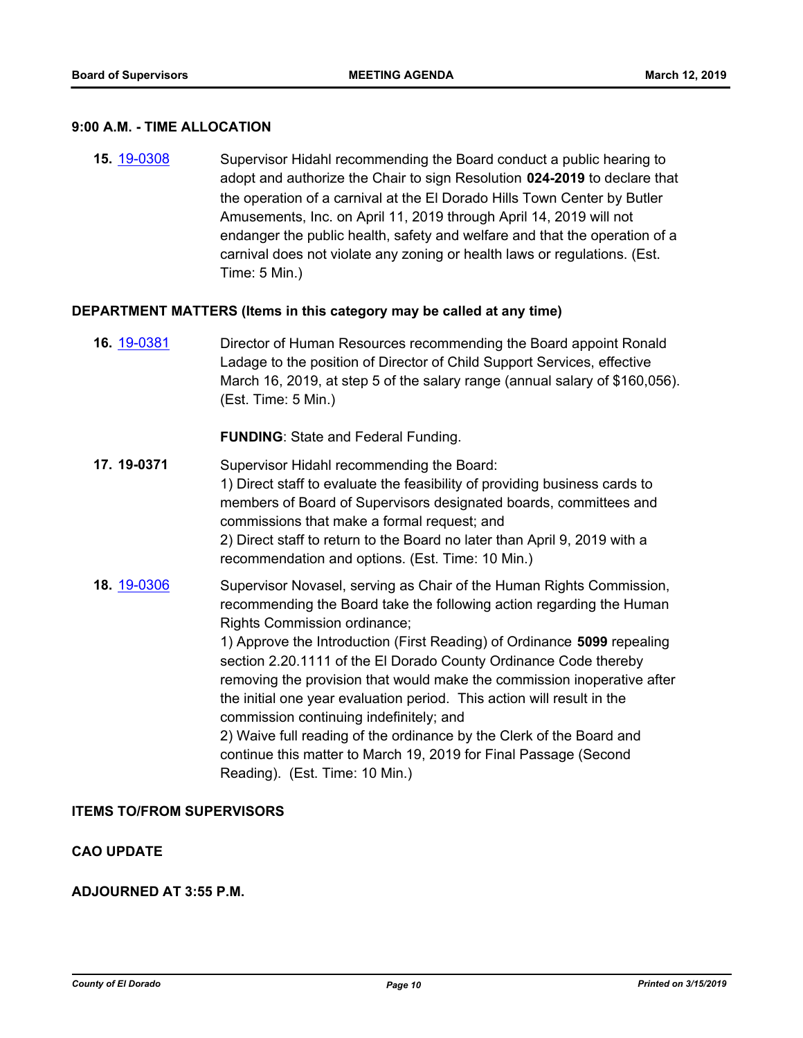#### **9:00 A.M. - TIME ALLOCATION**

**15.** [19-0308](http://eldorado.legistar.com/gateway.aspx?m=l&id=/matter.aspx?key=25630) Supervisor Hidahl recommending the Board conduct a public hearing to adopt and authorize the Chair to sign Resolution **024-2019** to declare that the operation of a carnival at the El Dorado Hills Town Center by Butler Amusements, Inc. on April 11, 2019 through April 14, 2019 will not endanger the public health, safety and welfare and that the operation of a carnival does not violate any zoning or health laws or regulations. (Est. Time: 5 Min.)

#### **DEPARTMENT MATTERS (Items in this category may be called at any time)**

**16.** [19-0381](http://eldorado.legistar.com/gateway.aspx?m=l&id=/matter.aspx?key=25702) Director of Human Resources recommending the Board appoint Ronald Ladage to the position of Director of Child Support Services, effective March 16, 2019, at step 5 of the salary range (annual salary of \$160,056). (Est. Time: 5 Min.)

#### **FUNDING**: State and Federal Funding.

- **17. 19-0371** Supervisor Hidahl recommending the Board: 1) Direct staff to evaluate the feasibility of providing business cards to members of Board of Supervisors designated boards, committees and commissions that make a formal request; and 2) Direct staff to return to the Board no later than April 9, 2019 with a recommendation and options. (Est. Time: 10 Min.)
- **18.** [19-0306](http://eldorado.legistar.com/gateway.aspx?m=l&id=/matter.aspx?key=25628) Supervisor Novasel, serving as Chair of the Human Rights Commission, recommending the Board take the following action regarding the Human Rights Commission ordinance;

1) Approve the Introduction (First Reading) of Ordinance **5099** repealing section 2.20.1111 of the El Dorado County Ordinance Code thereby removing the provision that would make the commission inoperative after the initial one year evaluation period. This action will result in the commission continuing indefinitely; and

2) Waive full reading of the ordinance by the Clerk of the Board and continue this matter to March 19, 2019 for Final Passage (Second Reading). (Est. Time: 10 Min.)

#### **ITEMS TO/FROM SUPERVISORS**

#### **CAO UPDATE**

#### **ADJOURNED AT 3:55 P.M.**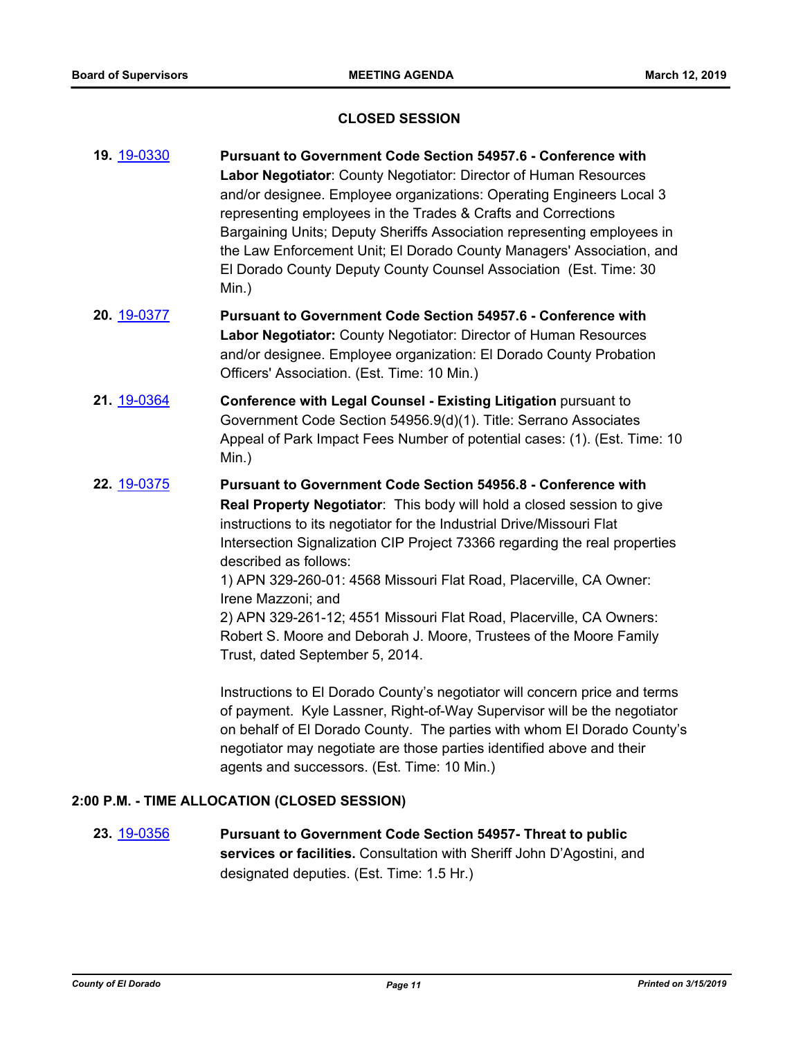#### **CLOSED SESSION**

- **19.** [19-0330](http://eldorado.legistar.com/gateway.aspx?m=l&id=/matter.aspx?key=25651) **Pursuant to Government Code Section 54957.6 Conference with Labor Negotiator**: County Negotiator: Director of Human Resources and/or designee. Employee organizations: Operating Engineers Local 3 representing employees in the Trades & Crafts and Corrections Bargaining Units; Deputy Sheriffs Association representing employees in the Law Enforcement Unit; El Dorado County Managers' Association, and El Dorado County Deputy County Counsel Association (Est. Time: 30 Min.)
- **20.** [19-0377](http://eldorado.legistar.com/gateway.aspx?m=l&id=/matter.aspx?key=25698) **Pursuant to Government Code Section 54957.6 Conference with Labor Negotiator:** County Negotiator: Director of Human Resources and/or designee. Employee organization: El Dorado County Probation Officers' Association. (Est. Time: 10 Min.)
- **21.** [19-0364](http://eldorado.legistar.com/gateway.aspx?m=l&id=/matter.aspx?key=25685) **Conference with Legal Counsel - Existing Litigation** pursuant to Government Code Section 54956.9(d)(1). Title: Serrano Associates Appeal of Park Impact Fees Number of potential cases: (1). (Est. Time: 10 Min.)
- **22.** [19-0375](http://eldorado.legistar.com/gateway.aspx?m=l&id=/matter.aspx?key=25696) **Pursuant to Government Code Section 54956.8 Conference with Real Property Negotiator**: This body will hold a closed session to give instructions to its negotiator for the Industrial Drive/Missouri Flat Intersection Signalization CIP Project 73366 regarding the real properties described as follows: 1) APN 329-260-01: 4568 Missouri Flat Road, Placerville, CA Owner: Irene Mazzoni; and 2) APN 329-261-12; 4551 Missouri Flat Road, Placerville, CA Owners:

Robert S. Moore and Deborah J. Moore, Trustees of the Moore Family Trust, dated September 5, 2014.

Instructions to El Dorado County's negotiator will concern price and terms of payment. Kyle Lassner, Right-of-Way Supervisor will be the negotiator on behalf of El Dorado County. The parties with whom El Dorado County's negotiator may negotiate are those parties identified above and their agents and successors. (Est. Time: 10 Min.)

#### **2:00 P.M. - TIME ALLOCATION (CLOSED SESSION)**

**23.** [19-0356](http://eldorado.legistar.com/gateway.aspx?m=l&id=/matter.aspx?key=25677) **Pursuant to Government Code Section 54957- Threat to public services or facilities.** Consultation with Sheriff John D'Agostini, and designated deputies. (Est. Time: 1.5 Hr.)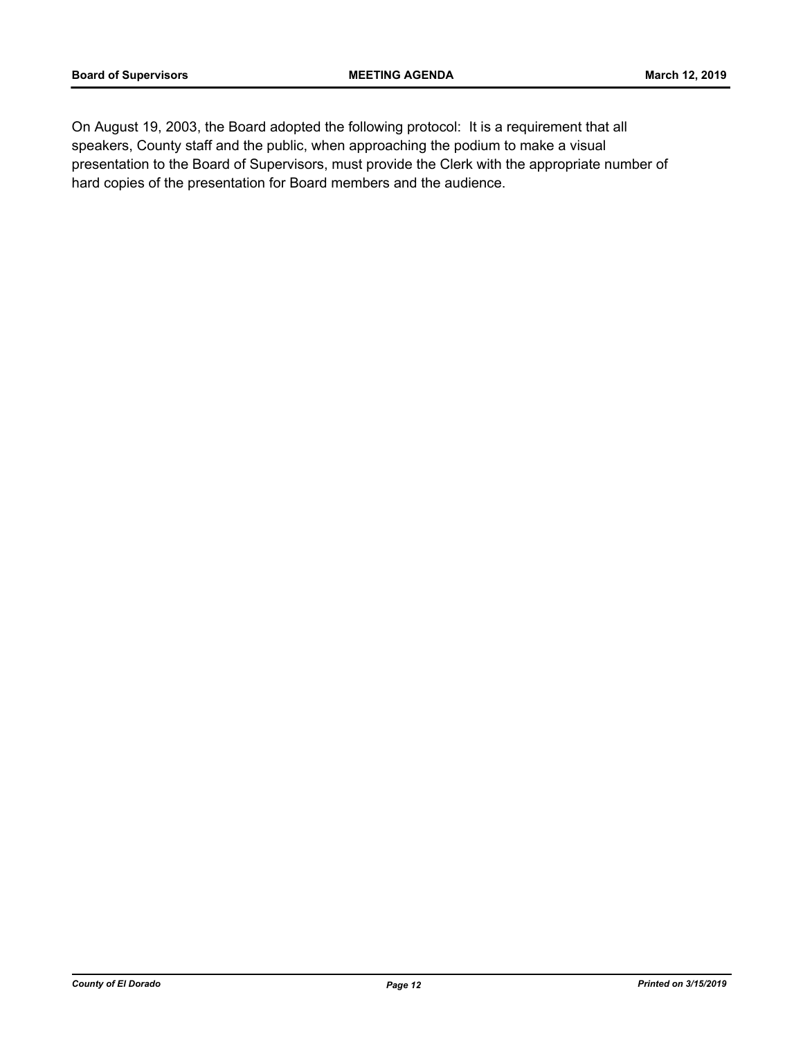On August 19, 2003, the Board adopted the following protocol: It is a requirement that all speakers, County staff and the public, when approaching the podium to make a visual presentation to the Board of Supervisors, must provide the Clerk with the appropriate number of hard copies of the presentation for Board members and the audience.